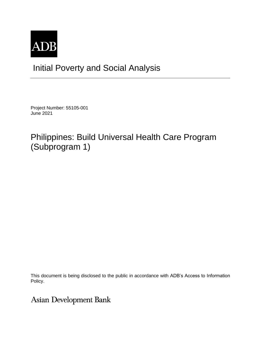

## Initial Poverty and Social Analysis

Project Number: 55105-001 June 2021

# Philippines: Build Universal Health Care Program (Subprogram 1)

This document is being disclosed to the public in accordance with ADB's Access to Information Policy.

Asian Development Bank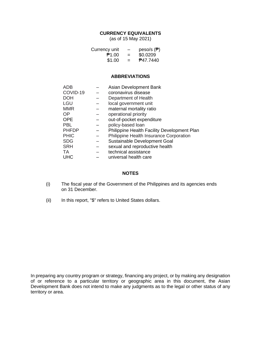### **CURRENCY EQUIVALENTS**

(as of 15 May 2021)

| Currency unit | -   | peso/s $(\overline{P})$ |
|---------------|-----|-------------------------|
| P1.00         | $=$ | \$0.0209                |
| \$1.00        | $=$ | <b>P47.7440</b>         |

#### **ABBREVIATIONS**

| ADB          | Asian Development Bank                      |
|--------------|---------------------------------------------|
| COVID-19     | coronavirus disease                         |
| <b>DOH</b>   | Department of Health                        |
| <b>LGU</b>   | local government unit                       |
| <b>MMR</b>   | maternal mortality ratio                    |
| <b>OP</b>    | operational priority                        |
| <b>OPE</b>   | out-of-pocket expenditure                   |
| <b>PBL</b>   | policy-based loan                           |
| <b>PHFDP</b> | Philippine Health Facility Development Plan |
| <b>PHIC</b>  | Philippine Health Insurance Corporation     |
| <b>SDG</b>   | Sustainable Development Goal                |
| <b>SRH</b>   | sexual and reproductive health              |
| <b>TA</b>    | technical assistance                        |
| UHC          | universal health care                       |

### **NOTES**

- (i) The fiscal year of the Government of the Philippines and its agencies ends on 31 December.
- (ii) In this report, "\$" refers to United States dollars.

In preparing any country program or strategy, financing any project, or by making any designation of or reference to a particular territory or geographic area in this document, the Asian Development Bank does not intend to make any judgments as to the legal or other status of any territory or area.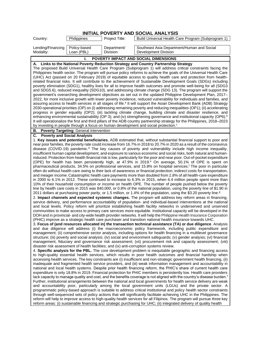| Philippines<br>Country:                                                                                                                                                                                                                                                                                                                                                                                                                                                                                                                                                                                                                                                                                                                                                                                                                                                                                                                                                                                                                                                                                                                                                                                                                                                                                                                                                                                                                                                                                                                                                                                                                                                                                      | Project Title:           |                                                                                                                                                                                                                                                                                                                                                                                                                                                                                                                                                                                                                                                                                                                                                                                                                                                                                                                                                                                                                                                                                                                                                                                                                                                                                                                                                                                                                                                                                                                                                                                                                                                                                                                                                                                                                                                                                                                                                                                                                                                                                                                                                                                                                                                                                                                                                                                                                                                                                                                                                                                                                                                                                                                                                                                                                                                                                                                                                                                                                                                                                                                                                                                                                                                                                                                                                                                                                                                                                                                                                                                                                                                                                                                                                                                                                                                                                                                                                                                                                                               |  |  |
|--------------------------------------------------------------------------------------------------------------------------------------------------------------------------------------------------------------------------------------------------------------------------------------------------------------------------------------------------------------------------------------------------------------------------------------------------------------------------------------------------------------------------------------------------------------------------------------------------------------------------------------------------------------------------------------------------------------------------------------------------------------------------------------------------------------------------------------------------------------------------------------------------------------------------------------------------------------------------------------------------------------------------------------------------------------------------------------------------------------------------------------------------------------------------------------------------------------------------------------------------------------------------------------------------------------------------------------------------------------------------------------------------------------------------------------------------------------------------------------------------------------------------------------------------------------------------------------------------------------------------------------------------------------------------------------------------------------|--------------------------|-----------------------------------------------------------------------------------------------------------------------------------------------------------------------------------------------------------------------------------------------------------------------------------------------------------------------------------------------------------------------------------------------------------------------------------------------------------------------------------------------------------------------------------------------------------------------------------------------------------------------------------------------------------------------------------------------------------------------------------------------------------------------------------------------------------------------------------------------------------------------------------------------------------------------------------------------------------------------------------------------------------------------------------------------------------------------------------------------------------------------------------------------------------------------------------------------------------------------------------------------------------------------------------------------------------------------------------------------------------------------------------------------------------------------------------------------------------------------------------------------------------------------------------------------------------------------------------------------------------------------------------------------------------------------------------------------------------------------------------------------------------------------------------------------------------------------------------------------------------------------------------------------------------------------------------------------------------------------------------------------------------------------------------------------------------------------------------------------------------------------------------------------------------------------------------------------------------------------------------------------------------------------------------------------------------------------------------------------------------------------------------------------------------------------------------------------------------------------------------------------------------------------------------------------------------------------------------------------------------------------------------------------------------------------------------------------------------------------------------------------------------------------------------------------------------------------------------------------------------------------------------------------------------------------------------------------------------------------------------------------------------------------------------------------------------------------------------------------------------------------------------------------------------------------------------------------------------------------------------------------------------------------------------------------------------------------------------------------------------------------------------------------------------------------------------------------------------------------------------------------------------------------------------------------------------------------------------------------------------------------------------------------------------------------------------------------------------------------------------------------------------------------------------------------------------------------------------------------------------------------------------------------------------------------------------------------------------------------------------------------------------------------------------------------|--|--|
|                                                                                                                                                                                                                                                                                                                                                                                                                                                                                                                                                                                                                                                                                                                                                                                                                                                                                                                                                                                                                                                                                                                                                                                                                                                                                                                                                                                                                                                                                                                                                                                                                                                                                                              |                          | Build Universal Health Care Program (Subprogram 1)                                                                                                                                                                                                                                                                                                                                                                                                                                                                                                                                                                                                                                                                                                                                                                                                                                                                                                                                                                                                                                                                                                                                                                                                                                                                                                                                                                                                                                                                                                                                                                                                                                                                                                                                                                                                                                                                                                                                                                                                                                                                                                                                                                                                                                                                                                                                                                                                                                                                                                                                                                                                                                                                                                                                                                                                                                                                                                                                                                                                                                                                                                                                                                                                                                                                                                                                                                                                                                                                                                                                                                                                                                                                                                                                                                                                                                                                                                                                                                                            |  |  |
| Policy-based<br>Lending/Financing<br>Modality:<br>Loan (PBL)                                                                                                                                                                                                                                                                                                                                                                                                                                                                                                                                                                                                                                                                                                                                                                                                                                                                                                                                                                                                                                                                                                                                                                                                                                                                                                                                                                                                                                                                                                                                                                                                                                                 | Department/<br>Division: | Southeast Asia Department/Human and Social<br>Development Division                                                                                                                                                                                                                                                                                                                                                                                                                                                                                                                                                                                                                                                                                                                                                                                                                                                                                                                                                                                                                                                                                                                                                                                                                                                                                                                                                                                                                                                                                                                                                                                                                                                                                                                                                                                                                                                                                                                                                                                                                                                                                                                                                                                                                                                                                                                                                                                                                                                                                                                                                                                                                                                                                                                                                                                                                                                                                                                                                                                                                                                                                                                                                                                                                                                                                                                                                                                                                                                                                                                                                                                                                                                                                                                                                                                                                                                                                                                                                                            |  |  |
| I.                                                                                                                                                                                                                                                                                                                                                                                                                                                                                                                                                                                                                                                                                                                                                                                                                                                                                                                                                                                                                                                                                                                                                                                                                                                                                                                                                                                                                                                                                                                                                                                                                                                                                                           |                          | POVERTY IMPACT AND SOCIAL DIMENSIONS                                                                                                                                                                                                                                                                                                                                                                                                                                                                                                                                                                                                                                                                                                                                                                                                                                                                                                                                                                                                                                                                                                                                                                                                                                                                                                                                                                                                                                                                                                                                                                                                                                                                                                                                                                                                                                                                                                                                                                                                                                                                                                                                                                                                                                                                                                                                                                                                                                                                                                                                                                                                                                                                                                                                                                                                                                                                                                                                                                                                                                                                                                                                                                                                                                                                                                                                                                                                                                                                                                                                                                                                                                                                                                                                                                                                                                                                                                                                                                                                          |  |  |
| A. Links to the National Poverty Reduction Strategy and Country Partnership Strategy                                                                                                                                                                                                                                                                                                                                                                                                                                                                                                                                                                                                                                                                                                                                                                                                                                                                                                                                                                                                                                                                                                                                                                                                                                                                                                                                                                                                                                                                                                                                                                                                                         |                          |                                                                                                                                                                                                                                                                                                                                                                                                                                                                                                                                                                                                                                                                                                                                                                                                                                                                                                                                                                                                                                                                                                                                                                                                                                                                                                                                                                                                                                                                                                                                                                                                                                                                                                                                                                                                                                                                                                                                                                                                                                                                                                                                                                                                                                                                                                                                                                                                                                                                                                                                                                                                                                                                                                                                                                                                                                                                                                                                                                                                                                                                                                                                                                                                                                                                                                                                                                                                                                                                                                                                                                                                                                                                                                                                                                                                                                                                                                                                                                                                                                               |  |  |
| The proposed Build Universal Health Care Program (Subprogram 1) will address critical constraints facing the<br>Philippines health sector. The program will pursue policy reforms to achieve the goals of the Universal Health Care<br>(UHC) Act (passed on 20 February 2019) of equitable access to quality health care and protection from health-<br>related financial risks. It will contribute to the achievement of Sustainable Development Goals (SDGs) including<br>poverty elimination (SDG1), healthy lives for all to improve health outcomes and promote well-being for all (SDG3<br>and SDG5.6), reduced inequality (SDG10), and addressing climate change (SDG 13). The program will support the<br>government's overarching development objectives as set out in the updated Philippine Development Plan, 2017-<br>2022, for more inclusive growth with lower poverty incidence, reduced vulnerability for individuals and families, and<br>assuring access to health services in all stages of life. <sup>a</sup> It will support the Asian Development Bank (ADB) Strategy<br>2030 operational priorities (OP) on (i) addressing remaining poverty and reducing inequalities (OP1); (ii) accelerating<br>progress in gender equality (OP2); (iii) tackling climate change, building climate and disaster resilience, and<br>enhancing environmental sustainability (OP 3); and (iv) strengthening governance and institutional capacity (OP6). <sup>b</sup><br>It will operationalize the first and third pillars of the ADB country partnership strategy for the Philippines, 2018–2023<br>by investing in people through a focus on human development and social protection. <sup>c</sup> |                          |                                                                                                                                                                                                                                                                                                                                                                                                                                                                                                                                                                                                                                                                                                                                                                                                                                                                                                                                                                                                                                                                                                                                                                                                                                                                                                                                                                                                                                                                                                                                                                                                                                                                                                                                                                                                                                                                                                                                                                                                                                                                                                                                                                                                                                                                                                                                                                                                                                                                                                                                                                                                                                                                                                                                                                                                                                                                                                                                                                                                                                                                                                                                                                                                                                                                                                                                                                                                                                                                                                                                                                                                                                                                                                                                                                                                                                                                                                                                                                                                                                               |  |  |
| Poverty Targeting: General intervention<br>В.                                                                                                                                                                                                                                                                                                                                                                                                                                                                                                                                                                                                                                                                                                                                                                                                                                                                                                                                                                                                                                                                                                                                                                                                                                                                                                                                                                                                                                                                                                                                                                                                                                                                |                          |                                                                                                                                                                                                                                                                                                                                                                                                                                                                                                                                                                                                                                                                                                                                                                                                                                                                                                                                                                                                                                                                                                                                                                                                                                                                                                                                                                                                                                                                                                                                                                                                                                                                                                                                                                                                                                                                                                                                                                                                                                                                                                                                                                                                                                                                                                                                                                                                                                                                                                                                                                                                                                                                                                                                                                                                                                                                                                                                                                                                                                                                                                                                                                                                                                                                                                                                                                                                                                                                                                                                                                                                                                                                                                                                                                                                                                                                                                                                                                                                                                               |  |  |
| <b>Poverty and Social Analysis</b><br>С.<br>disaster risk assessment of health facilities; and (ix) anti-corruption systems review.                                                                                                                                                                                                                                                                                                                                                                                                                                                                                                                                                                                                                                                                                                                                                                                                                                                                                                                                                                                                                                                                                                                                                                                                                                                                                                                                                                                                                                                                                                                                                                          |                          | 1. Key issues and potential beneficiaries. ADB estimated that, without substantial financial support to poor and<br>near poor families, the poverty rate could increase from 16.7% in 2018 to 20.7% in 2020 as a result of the coronavirus<br>disease (COVID-19) pandemic. <sup>d</sup> The key causes of poverty and vulnerability include high income inequality,<br>insufficient human capital development, and exposure to various economic and social risks, both natural and human-<br>induced. Protection from health financial risk is low, particularly for the poor and near poor. Out-of-pocket expenditure<br>(OPE) for health has been persistently high, at 47.9% in 2019. <sup>e</sup> On average, 50.1% of OPE is spent on<br>pharmaceutical products, 34.5% on professional services, and 15.8% on hospital services. <sup>f</sup> The poor in particular<br>often do without health care owing to their lack of awareness or financial protection, indirect costs for transportation,<br>and meager income. Catastrophic health care payments more than doubled from 2.8% of all health-care expenditure<br>in 2000 to 6.1% in 2012. These continued to increase to 6.3% in 2015, when 6.4 million people spent more than<br>10% of their household consumption or income on health OPE. The number of people pushed below the poverty<br>line by health care costs in 2015 was 840,000, or 0.8% of the national population, using the poverty line of \$1.90 in<br>2011 dollars at purchasing power parity, or 1.5 million, or 1.4% of the population, using the \$3.20 poverty line. <sup>9</sup><br>2. Impact channels and expected systemic changes. The program will address key reform areas in financing,<br>service delivery, and performance accountability of population- and individual-based interventions at the national<br>and local levels. Policy reform will prioritize establishing health facility networks in underserved and unserved<br>communities to make access to primary care services more equitable. Institutional capacity will be developed in the<br>DOH and in provincial- and city-wide health provider networks. It will help the Philippine Health Insurance Corporation<br>(PHIC) improve as a strategic health care purchaser and transition national health insurance towards UHC.<br>3. Focus of (and resources allocated in) the transaction technical assistance (TA) or due diligence. Analysis<br>and due diligence will address (i) the macroeconomic policy framework, including public expenditure and<br>management; (ii) comprehensive sector analysis, including options for health financing in a multilevel governance<br>structure; (iii) poverty and social analysis; (iv) social and environment safeguards; (v) gender analysis; (vi) financial<br>management, fiduciary and governance risk assessment; (vii) procurement risk and capacity assessment; (viii)<br>4. Specific analysis for the PBL. The core development problem is inequitable geographic and financing access<br>to high-quality essential health services, which results in poor health outcomes and financial hardship when<br>accessing health services. The key constraints are (i) insufficient and non-strategic government health financing, (ii)<br>inadequate and fragmented health service providers, and (iii) weak information management and accountability in<br>national and local health systems. Despite prior health financing reform, the PHIC's share of current health care<br>expenditure is only 18.8% in 2019. Financial protection for PHIC members is persistently low. Health care providers<br>lack capacity to manage quality and cost, and the benefits coverage is not aligned with the country's disease burden. <sup>f</sup><br>Further, institutional arrangements between the national and local governments for health service delivery are weak<br>and accountability poor, particularly among the local government units (LGUs) and the private sector. A |  |  |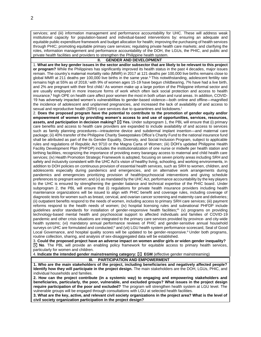services; and (iii) information management and performance accountability for UHC. These will address weak institutional capacity for population-based and individual-based interventions by: ensuring an adequate and equitable public expenditure framework and budget allocation for health; improving the purchasing of health services through PHIC; promoting equitable primary care services; regulating private health care markets; and clarifying the roles, information management and performance accountability of the DOH, the LGUs, the PHIC, and public and private health facilities and providers to strengthen the Philippine health system.

#### **II. GENDER AND DEVELOPMENT**

1. **What are the key gender issues in the sector and/or subsector that are likely to be relevant to this project or program?** While the Philippines has significantly improved its health status in the past 4 decades, major issues remain. The country's maternal mortality ratio (MMR) in 2017 at 121 deaths per 100,000 live births remains close to global MMR at 211 deaths per 100,000 live births in the same year.<sup>h</sup> This notwithstanding, adolescent fertility rate remains high at 55% as of 2018,<sup>i</sup> with 9% of women ages 15-19 have begun childbearing, 7% have had a live birth, and 2% are pregnant with their first child.<sup>j</sup> As women make up a large portion of the Philippine informal sector and are usually employed in more insecure forms of work which often lack social protection and access to health insurance,<sup>k</sup> high OPE on health care affect poor women the most in both urban and rural areas. In addition, COVID-19 has adversely impacted women's vulnerabilities to gender-based violence—both online and offline—magnified the incidence of adolescent and unplanned pregnancies, and increased the lack of availability of and access to sexual and reproductive health (SRH) care services due to quarantines and lockdowns. l

2. **Does the proposed program have the potential to contribute to the promotion of gender equity and/or empowerment of women by providing women's access to and use of opportunities, services, resources, assets, and participation in decision making? Yes.** Under subprogram 1, the PBL will ensure that (i) primary care benefits and access to health care providers are expanded to include availability of and access to services such as family planning procedures—intrauterine device and subdermal implant insertion—and maternal care package; (ii) 40% transfer of the Philippine Charity Sweepstakes Office's Charity Fund to the national insurance fund shall be attributed as part of the its Gender Equality, Diversity, and Social Inclusion Program, subject to applicable rules and regulations of Republic Act 9710 or the Magna Carta of Women; (iii) DOH's updated Philippine Health Facility Development Plan (PHFDP) includes the institutionalization of one nurse or midwife per health station and birthing facilities, recognizing the importance of providing every barangay access to maternal and child health care services; (iv) Health Promotion Strategic Framework is adopted, focusing on seven priority areas including SRH and safety and inclusivity consistent with the UHC Act's vision of healthy living, schooling, and working environments, in addition to DOH policies on continuous provision of essential health services, such as SRH to women, children, and adolescents especially during pandemics and emergencies, and on alternative work arrangements during pandemics and emergencies prioritizing provision of health/psychosocial interventions and giving schedule preferences to pregnant women; and (v) as mandated by the UHC Act, performance accountability by the key players to the UHC is ensured by strengthening the gender balance and technical expertise of the PHIC board. Under subprogram 2, the PBL will ensure that (i) regulations for private health insurance providers including health maintenance organizations will be issued to align with PHIC benefit and coverage rules, including coverage of diagnostic tests for women such as breast, cervical, and ovarian cancer screening and maternity care and deliveries; (ii) outpatient benefits respond to the needs of women, including access to primary SRH care services; (iii) payment reforms respond to the health needs of women; (iv) hospital licensing rules and subnational PHFDP include guidelines and/or standards for installation of gender-responsive health facilities; <sup>m</sup> (v) programs on providing technology-based mental health and psychosocial support to affected individuals and families of COVID-19 pandemic and other crisis situations are integrated to the primary care services provided by province- and city-wide health systems; (vi) mandatory annual performance reviews of PHIC and gender-sensitive annual household surveys on UHC are formulated and conducted;<sup>n</sup> and (vii) LGU health system performance scorecard, Seal of Good Local Governance, and hospital quality scores will be updated to be gender-responsive.<sup>o</sup> Under both programs, routine collection, sharing, and analysis of sex-disaggregated data will be established.

3. **Could the proposed project have an adverse impact on women and/or girls or widen gender inequality? No**. The PBL will provide an enabling policy framework for equitable access to primary health services, particularly for women and children.

4. **Indicate the intended gender mainstreaming category: EGM** (effective gender mainstreaming)

#### **III. PARTICIPATION AND EMPOWERMENT**

**1. Who are the main stakeholders of the project, including beneficiaries and negatively affected people? Identify how they will participate in the project design.** The main stakeholders are the DOH, LGUs, PHIC, and individual households and families.

**2. How can the project contribute (in a systemic way) to engaging and empowering stakeholders and beneficiaries, particularly, the poor, vulnerable, and excluded groups? What issues in the project design require participation of the poor and excluded?** The program will strengthen health system at LGU level. The vulnerable groups will be engaged through consultations with LGU at selected health facilities.

**3. What are the key, active, and relevant civil society organizations in the project area? What is the level of civil society organization participation in the project design?**